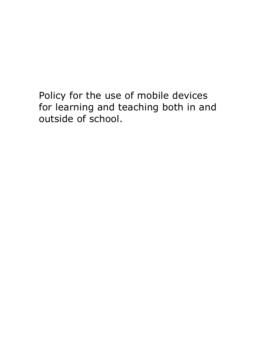Policy for the use of mobile devices for learning and teaching both in and outside of school.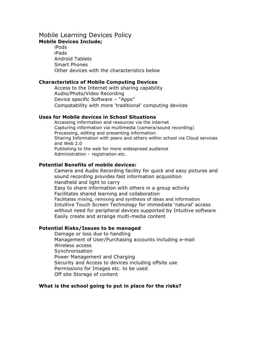## Mobile Learning Devices Policy **Mobile Devices Include;**

 iPods iPads Android Tablets Smart Phones Other devices with the characteristics below

### **Characteristics of Mobile Computing Devices**

 Access to the Internet with sharing capability Audio/Photo/Video Recording Device specific Software – "Apps" Compatability with more 'traditional' computing devices

## **Uses for Mobile devices in School Situations**

 Accessing information and resources via the internet Capturing information via multimedia (camera/sound recording) Processing, editing and presenting information Sharing Information with peers and others within school via Cloud services and Web 2.0 Publishing to the web for more widespread audience Administration – registration etc.

## **Potential Benefits of mobile devices:**

 Camera and Audio Recording facility for quick and easy pictures and sound recording provides fast information acquisition Handheld and light to carry Easy to share information with others in a group activity Facilitates shared learning and collaboration Facilitates mixing, remixing and synthesis of ideas and information Intuitive Touch Screen Technology for immediate 'natural' access without need for peripheral devices supported by Intuitive software Easily create and arrange multi-media content

## **Potential Risks/Issues to be managed**

 Damage or loss due to handling Management of User/Purchasing accounts including e-mail Wireless access **Synchronisation**  Power Management and Charging Security and Access to devices including offsite use Permissions for Images etc. to be used Off site Storage of content

# **What is the school going to put in place for the risks?**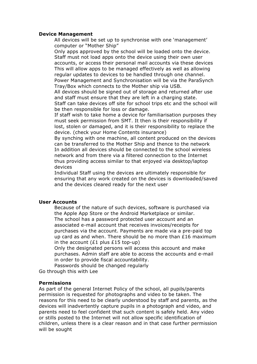### **Device Management**

 All devices will be set up to synchronise with one 'management' computer or "Mother Ship"

 Only apps approved by the school will be loaded onto the device. Staff must not load apps onto the device using their own user accounts, or access their personal mail accounts via these devices This will allow apps to be managed effectively as well as allowing regular updates to devices to be handled through one channel. Power Management and Synchronisation will be via the ParaSynch Tray/Box which connects to the Mother ship via USB.

 All devices should be signed out of storage and returned after use and staff must ensure that they are left in a charging state. Staff can take devices off site for school trips etc and the school will be then responsible for loss or damage.

 If staff wish to take home a device for familiarisation purposes they must seek permission from SMT. It then is their responsibility if lost, stolen or damaged, and it is their responsibility to replace the device. (check your Home Contents insurance)

 By synching with one machine, all content produced on the devices can be transferred to the Mother Ship and thence to the network In addition all devices should be connected to the school wireless network and from there via a filtered connection to the Internet thus providing access similar to that enjoyed via desktop/laptop devices

 Individual Staff using the devices are ultimately responsible for ensuring that any work created on the devices is downloaded/saved and the devices cleared ready for the next user

### **User Accounts**

 Because of the nature of such devices, software is purchased via the Apple App Store or the Android Marketplace or similar. The school has a password protected user account and an associated e-mail account that receives invoices/receipts for purchases via the account. Payments are made via a pre-paid top up card as and when. There should be no more than  $£16$  maximum in the account  $(£1$  plus  $£15$  top-up)

 Only the designated persons will access this account and make purchases. Admin staff are able to access the accounts and e-mail in order to provide fiscal accountability.

 Passwords should be changed regularly Go through this with Lee

#### **Permissions**

As part of the general Internet Policy of the school, all pupils/parents permission is requested for photographs and video to be taken. The reasons for this need to be clearly understood by staff and parents, as the devices will inadvertently capture pupils in a photograph and video, and parents need to feel confident that such content is safely held. Any video or stills posted to the Internet will not allow specific identification of children, unless there is a clear reason and in that case further permission will be sought